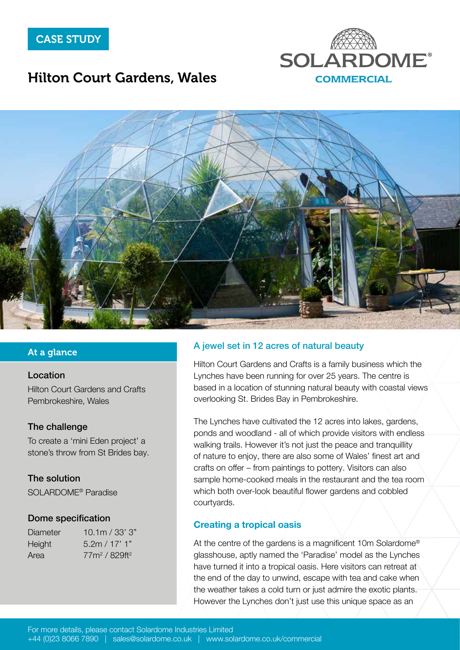

## Hilton Court Gardens, Wales



#### At a glance

#### Location

[Hilton Court Gardens and Crafts](http://www.hiltoncourt.co.uk/) [Pembrokeshire, Wales](http://www.hiltoncourt.co.uk/)

#### The challenge

To create a 'mini Eden project' a stone's throw from St Brides bay.

#### The solution

SOLARDOME® Paradise

#### Dome specification

| Diameter | 10.1m / 33' 3"  |
|----------|-----------------|
| Height   | 5.2m / 17' 1"   |
| Area     | $77m^2/829ft^2$ |

#### A jewel set in 12 acres of natural beauty

Hilton Court Gardens and Crafts is a family business which the Lynches have been running for over 25 years. The centre is based in a location of stunning natural beauty with coastal views overlooking St. Brides Bay in Pembrokeshire.

The Lynches have cultivated the 12 acres into lakes, gardens, ponds and woodland - all of which provide visitors with endless walking trails. However it's not just the peace and tranquillity of nature to enjoy, there are also some of Wales' finest art and crafts on offer – from paintings to pottery. Visitors can also sample home-cooked meals in the restaurant and the tea room which both over-look beautiful flower gardens and cobbled courtyards.

#### Creating a tropical oasis

At the centre of the gardens is a magnificent 10m Solardome® glasshouse, aptly named the 'Paradise' model as the Lynches have turned it into a tropical oasis. Here visitors can retreat at the end of the day to unwind, escape with tea and cake when the weather takes a cold turn or just admire the exotic plants. However the Lynches don't just use this unique space as an